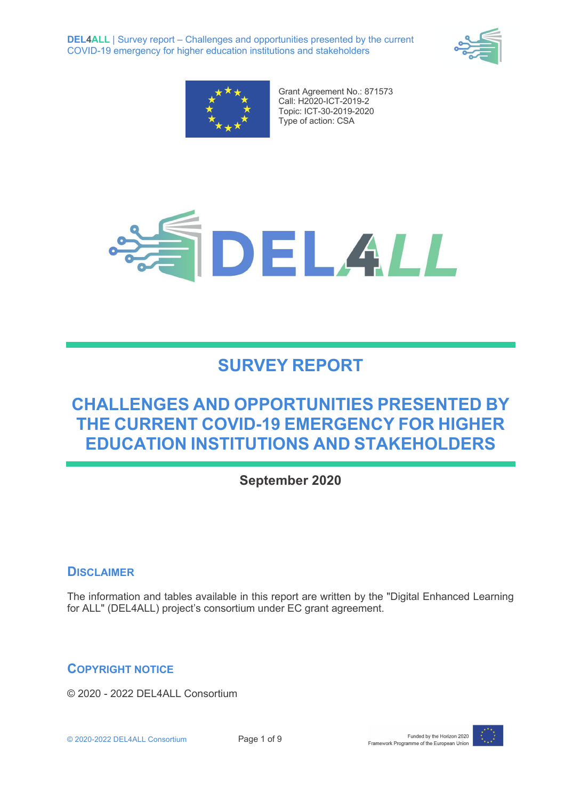**DEL4ALL** | Survey report – Challenges and opportunities presented by the current COVID-19 emergency for higher education institutions and stakeholders





Grant Agreement No.: 871573 Call: H2020-ICT-2019-2 Topic: ICT-30-2019-2020 Type of action: CSA



# **SURVEY REPORT**

## **CHALLENGES AND OPPORTUNITIES PRESENTED BY THE CURRENT COVID-19 EMERGENCY FOR HIGHER EDUCATION INSTITUTIONS AND STAKEHOLDERS**

## **September 2020**

### **DISCLAIMER**

The information and tables available in this report are written by the "Digital Enhanced Learning for ALL" (DEL4ALL) project's consortium under EC grant agreement.

### **COPYRIGHT NOTICE**

© 2020 - 2022 DEL4ALL Consortium

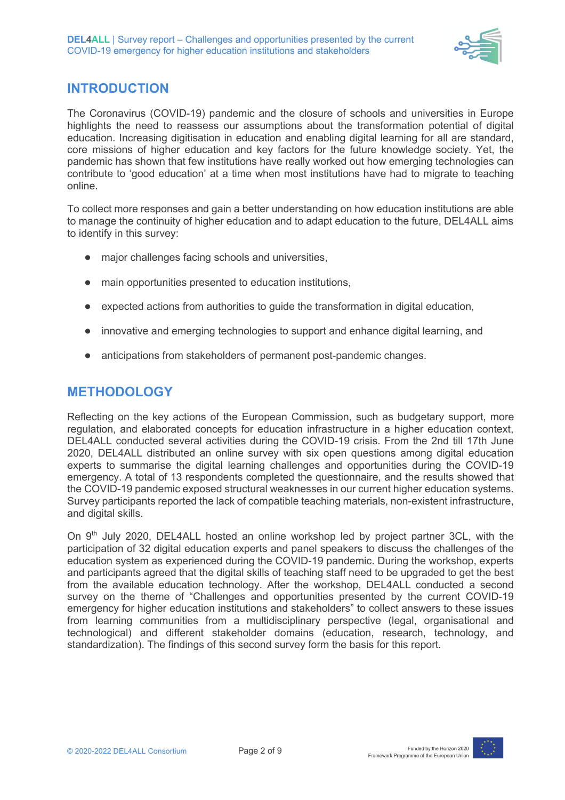

## **INTRODUCTION**

The Coronavirus (COVID-19) pandemic and the closure of schools and universities in Europe highlights the need to reassess our assumptions about the transformation potential of digital education. Increasing digitisation in education and enabling digital learning for all are standard, core missions of higher education and key factors for the future knowledge society. Yet, the pandemic has shown that few institutions have really worked out how emerging technologies can contribute to 'good education' at a time when most institutions have had to migrate to teaching online.

To collect more responses and gain a better understanding on how education institutions are able to manage the continuity of higher education and to adapt education to the future, DEL4ALL aims to identify in this survey:

- major challenges facing schools and universities,
- main opportunities presented to education institutions,
- expected actions from authorities to guide the transformation in digital education,
- innovative and emerging technologies to support and enhance digital learning, and
- anticipations from stakeholders of permanent post-pandemic changes.

## **METHODOLOGY**

Reflecting on the key actions of the European Commission, such as budgetary support, more regulation, and elaborated concepts for education infrastructure in a higher education context, DEL4ALL conducted several activities during the COVID-19 crisis. From the 2nd till 17th June 2020, DEL4ALL distributed an online survey with six open questions among digital education experts to summarise the digital learning challenges and opportunities during the COVID-19 emergency. A total of 13 respondents completed the questionnaire, and the results showed that the COVID-19 pandemic exposed structural weaknesses in our current higher education systems. Survey participants reported the lack of compatible teaching materials, non-existent infrastructure, and digital skills.

On  $9<sup>th</sup>$  July 2020, DEL4ALL hosted an online workshop led by project partner 3CL, with the participation of 32 digital education experts and panel speakers to discuss the challenges of the education system as experienced during the COVID-19 pandemic. During the workshop, experts and participants agreed that the digital skills of teaching staff need to be upgraded to get the best from the available education technology. After the workshop, DEL4ALL conducted a second survey on the theme of "Challenges and opportunities presented by the current COVID-19 emergency for higher education institutions and stakeholders" to collect answers to these issues from learning communities from a multidisciplinary perspective (legal, organisational and technological) and different stakeholder domains (education, research, technology, and standardization). The findings of this second survey form the basis for this report.

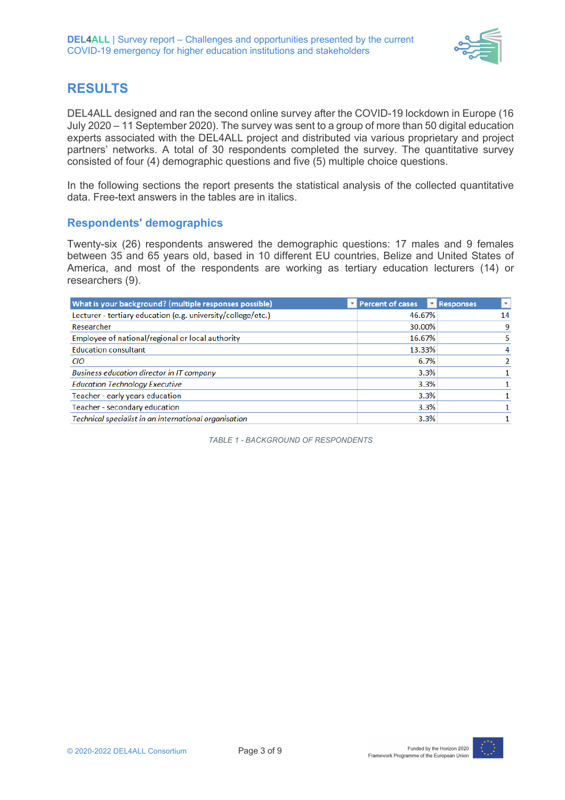

## **RESULTS**

DEL4ALL designed and ran the second online survey after the COVID-19 lockdown in Europe (16 July 2020 – 11 September 2020). The survey was sent to a group of more than 50 digital education experts associated with the DEL4ALL project and distributed via various proprietary and project partners' networks. A total of 30 respondents completed the survey. The quantitative survey consisted of four (4) demographic questions and five (5) multiple choice questions.

In the following sections the report presents the statistical analysis of the collected quantitative data. Free-text answers in the tables are in italics.

#### **Respondents' demographics**

Twenty-six (26) respondents answered the demographic questions: 17 males and 9 females between 35 and 65 years old, based in 10 different EU countries, Belize and United States of America, and most of the respondents are working as tertiary education lecturers (14) or researchers (9).

| What is your background? (multiple responses possible)       | Percent of cases | Responses<br>$\mathbf{v}$ |
|--------------------------------------------------------------|------------------|---------------------------|
| Lecturer - tertiary education (e.g. university/college/etc.) | 46.67%           | 14                        |
| Researcher                                                   | 30.00%           | 9                         |
| Employee of national/regional or local authority             | 16.67%           |                           |
| <b>Education consultant</b>                                  | 13.33%           |                           |
| CIO                                                          | 6.7%             |                           |
| Business education director in IT company                    | 3.3%             |                           |
| <b>Education Technology Executive</b>                        | 3.3%             |                           |
| Teacher - early years education                              | 3.3%             |                           |
| Teacher - secondary education                                | 3.3%             |                           |
| Technical specialist in an international organisation        | 3.3%             |                           |

*TABLE 1 - BACKGROUND OF RESPONDENTS*

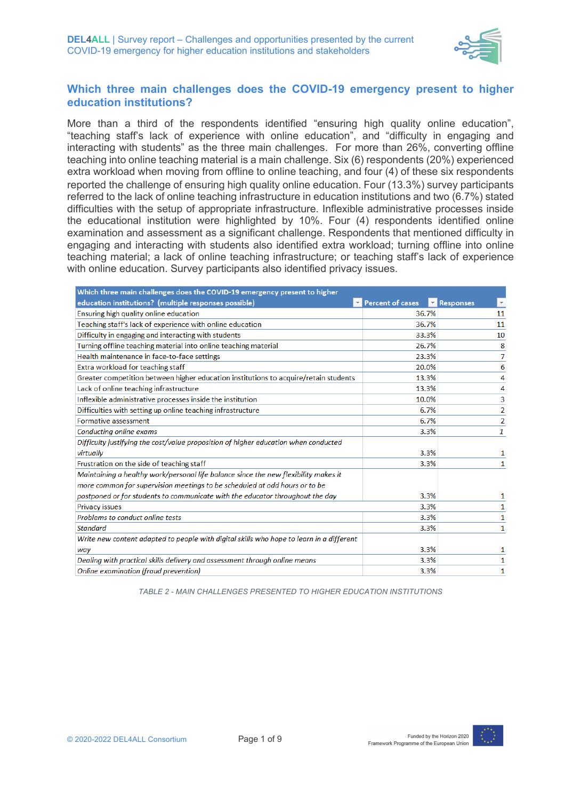

#### **Which three main challenges does the COVID-19 emergency present to higher education institutions?**

More than a third of the respondents identified "ensuring high quality online education", "teaching staff's lack of experience with online education", and "difficulty in engaging and interacting with students" as the three main challenges. For more than 26%, converting offline teaching into online teaching material is a main challenge. Six (6) respondents (20%) experienced extra workload when moving from offline to online teaching, and four (4) of these six respondents reported the challenge of ensuring high quality online education. Four (13.3%) survey participants referred to the lack of online teaching infrastructure in education institutions and two (6.7%) stated difficulties with the setup of appropriate infrastructure. Inflexible administrative processes inside the educational institution were highlighted by 10%. Four (4) respondents identified online examination and assessment as a significant challenge. Respondents that mentioned difficulty in engaging and interacting with students also identified extra workload; turning offline into online teaching material; a lack of online teaching infrastructure; or teaching staff's lack of experience with online education. Survey participants also identified privacy issues.

| Which three main challenges does the COVID-19 emergency present to higher                |                         |                                      |  |
|------------------------------------------------------------------------------------------|-------------------------|--------------------------------------|--|
| education institutions? (multiple responses possible)                                    | <b>Percent of cases</b> | Responses<br>$\overline{\mathbf{v}}$ |  |
| Ensuring high quality online education                                                   | 36.7%                   | 11                                   |  |
| Teaching staff's lack of experience with online education                                | 36.7%                   | 11                                   |  |
| Difficulty in engaging and interacting with students                                     | 33.3%                   | 10                                   |  |
| Turning offline teaching material into online teaching material                          | 26.7%                   | 8                                    |  |
| Health maintenance in face-to-face settings                                              | 23.3%                   | 7                                    |  |
| Extra workload for teaching staff                                                        | 20.0%                   | 6                                    |  |
| Greater competition between higher education institutions to acquire/retain students     | 13.3%                   | 4                                    |  |
| Lack of online teaching infrastructure                                                   | 13.3%                   | 4                                    |  |
| Inflexible administrative processes inside the institution                               | 10.0%                   | 3                                    |  |
| Difficulties with setting up online teaching infrastructure                              | 6.7%                    | 2                                    |  |
| Formative assessment                                                                     | 6.7%                    | $\overline{2}$                       |  |
| Conducting online exams                                                                  | 3.3%                    | 1                                    |  |
| Difficulty justifying the cost/value proposition of higher education when conducted      |                         |                                      |  |
| virtually                                                                                | 3.3%                    | 1                                    |  |
| Frustration on the side of teaching staff                                                | 3.3%                    | 1                                    |  |
| Maintaining a healthy work/personal life balance since the new flexibility makes it      |                         |                                      |  |
| more common for supervision meetings to be scheduled at odd hours or to be               |                         |                                      |  |
| postponed or for students to communicate with the educator throughout the day            | 3.3%                    | 1                                    |  |
| <b>Privacy issues</b>                                                                    | 3.3%                    | 1                                    |  |
| Problems to conduct online tests                                                         | 3.3%                    | 1                                    |  |
| <b>Standard</b>                                                                          | 3.3%                    | 1                                    |  |
| Write new content adapted to people with digital skills who hope to learn in a different |                         |                                      |  |
| way                                                                                      | 3.3%                    | 1                                    |  |
| Dealing with practical skills delivery and assessment through online means               | 3.3%                    | 1                                    |  |
| Online examination (fraud prevention)                                                    | 3.3%                    | 1                                    |  |

*TABLE 2 - MAIN CHALLENGES PRESENTED TO HIGHER EDUCATION INSTITUTIONS*

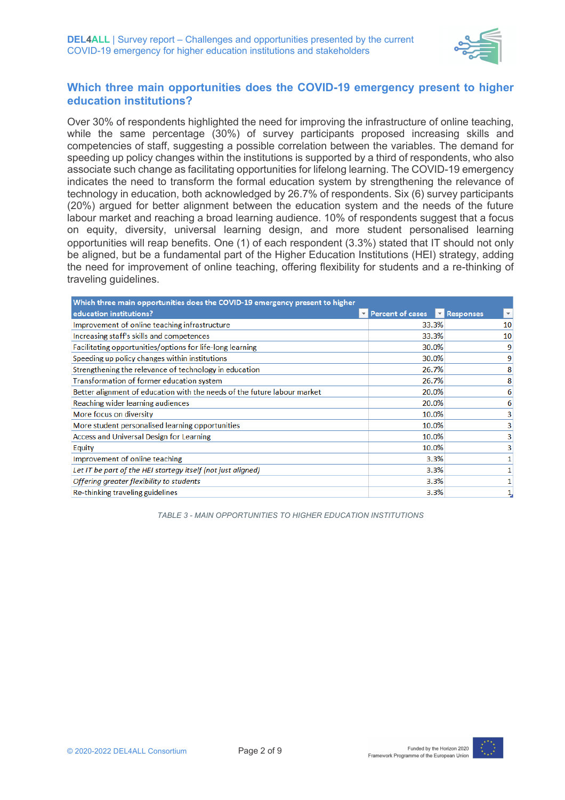

#### **Which three main opportunities does the COVID-19 emergency present to higher education institutions?**

Over 30% of respondents highlighted the need for improving the infrastructure of online teaching, while the same percentage (30%) of survey participants proposed increasing skills and competencies of staff, suggesting a possible correlation between the variables. The demand for speeding up policy changes within the institutions is supported by a third of respondents, who also associate such change as facilitating opportunities for lifelong learning. The COVID-19 emergency indicates the need to transform the formal education system by strengthening the relevance of technology in education, both acknowledged by 26.7% of respondents. Six (6) survey participants (20%) argued for better alignment between the education system and the needs of the future labour market and reaching a broad learning audience. 10% of respondents suggest that a focus on equity, diversity, universal learning design, and more student personalised learning opportunities will reap benefits. One (1) of each respondent (3.3%) stated that IT should not only be aligned, but be a fundamental part of the Higher Education Institutions (HEI) strategy, adding the need for improvement of online teaching, offering flexibility for students and a re-thinking of traveling guidelines.

| Which three main opportunities does the COVID-19 emergency present to higher |                  |                                        |
|------------------------------------------------------------------------------|------------------|----------------------------------------|
| education institutions?                                                      | Percent of cases | Responses<br>$\boldsymbol{\mathrm{v}}$ |
| Improvement of online teaching infrastructure                                | 33.3%            | 10                                     |
| Increasing staff's skills and competences                                    | 33.3%            | 10                                     |
| Facilitating opportunities/options for life-long learning                    | 30.0%            | 9                                      |
| Speeding up policy changes within institutions                               | 30.0%            | 9                                      |
| Strengthening the relevance of technology in education                       | 26.7%            |                                        |
| Transformation of former education system                                    | 26.7%            |                                        |
| Better alignment of education with the needs of the future labour market     | 20.0%            | 6                                      |
| Reaching wider learning audiences                                            | 20.0%            | 6                                      |
| More focus on diversity                                                      | 10.0%            |                                        |
| More student personalised learning opportunities                             | 10.0%            |                                        |
| Access and Universal Design for Learning                                     | 10.0%            |                                        |
| Equity                                                                       | 10.0%            |                                        |
| Improvement of online teaching                                               | 3.3%             |                                        |
| Let IT be part of the HEI startegy itself (not just aligned)                 | 3.3%             |                                        |
| Offering greater flexibility to students                                     | 3.3%             |                                        |
| Re-thinking traveling guidelines                                             | 3.3%             |                                        |

*TABLE 3 - MAIN OPPORTUNITIES TO HIGHER EDUCATION INSTITUTIONS*

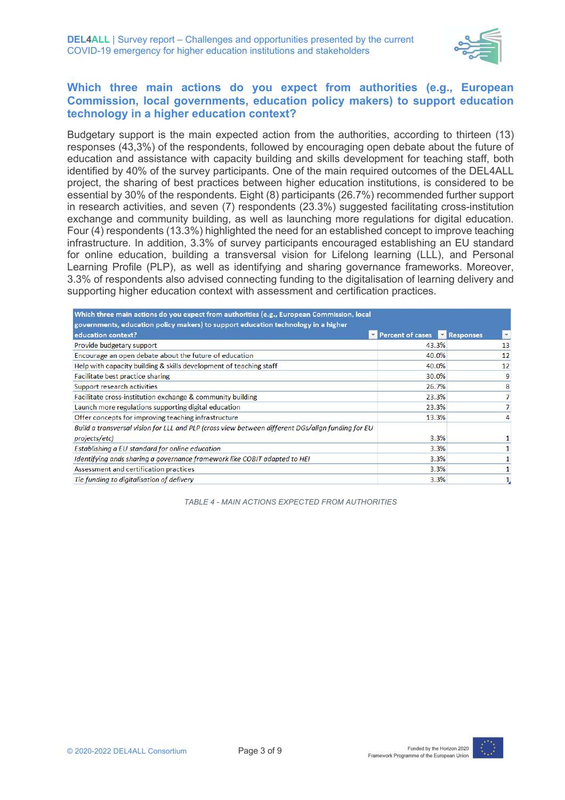

#### **Which three main actions do you expect from authorities (e.g., European Commission, local governments, education policy makers) to support education technology in a higher education context?**

Budgetary support is the main expected action from the authorities, according to thirteen (13) responses (43,3%) of the respondents, followed by encouraging open debate about the future of education and assistance with capacity building and skills development for teaching staff, both identified by 40% of the survey participants. One of the main required outcomes of the DEL4ALL project, the sharing of best practices between higher education institutions, is considered to be essential by 30% of the respondents. Eight (8) participants (26.7%) recommended further support in research activities, and seven (7) respondents (23.3%) suggested facilitating cross-institution exchange and community building, as well as launching more regulations for digital education. Four (4) respondents (13.3%) highlighted the need for an established concept to improve teaching infrastructure. In addition, 3.3% of survey participants encouraged establishing an EU standard for online education, building a transversal vision for Lifelong learning (LLL), and Personal Learning Profile (PLP), as well as identifying and sharing governance frameworks. Moreover, 3.3% of respondents also advised connecting funding to the digitalisation of learning delivery and supporting higher education context with assessment and certification practices.

| Which three main actions do you expect from authorities (e.g., European Commission, local         |                                              |                         |  |
|---------------------------------------------------------------------------------------------------|----------------------------------------------|-------------------------|--|
| governments, education policy makers) to support education technology in a higher                 |                                              |                         |  |
| education context?                                                                                | Percent of cases <b>Paradicipal Property</b> | $\overline{\mathbf{v}}$ |  |
| Provide budgetary support                                                                         | 43.3%                                        | 13                      |  |
| Encourage an open debate about the future of education                                            | 40.0%                                        | 12                      |  |
| Help with capacity building & skills development of teaching staff                                | 40.0%                                        | 12                      |  |
| Facilitate best practice sharing                                                                  | 30.0%                                        | 9                       |  |
| Support research activities                                                                       | 26.7%                                        | 8                       |  |
| Facilitate cross-institution exchange & community building                                        | 23.3%                                        | 7                       |  |
| Launch more regulations supporting digital education                                              | 23.3%                                        |                         |  |
| Offer concepts for improving teaching infrastructure                                              | 13.3%                                        |                         |  |
| Build a transversal vision for LLL and PLP (cross view between different DGs/alian funding for EU |                                              |                         |  |
| projects/etc)                                                                                     | 3.3%                                         |                         |  |
| Establishing a EU standard for online education                                                   | 3.3%                                         |                         |  |
| Identifying ands sharing a governance framework like COBIT adapted to HEI                         | 3.3%                                         |                         |  |
| Assessment and certification practices                                                            | 3.3%                                         |                         |  |
| Tie funding to digitalisation of delivery                                                         | 3.3%                                         |                         |  |

*TABLE 4 - MAIN ACTIONS EXPECTED FROM AUTHORITIES*



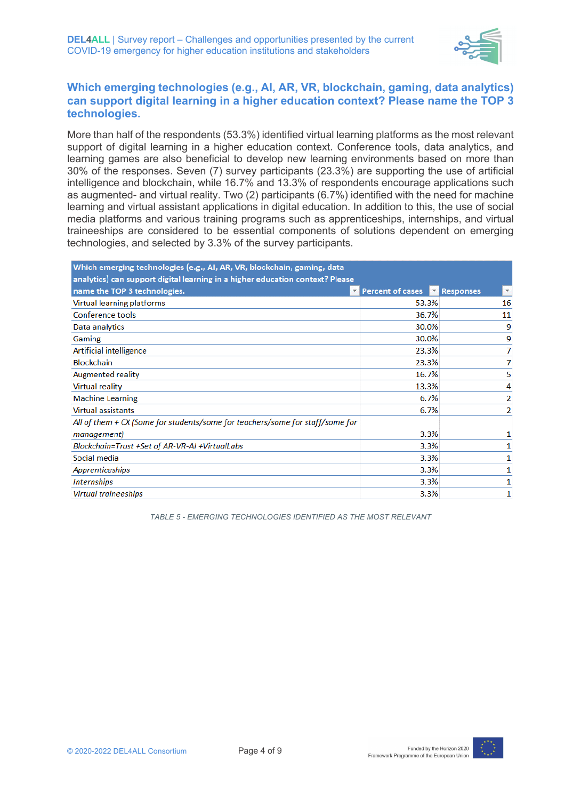

#### **Which emerging technologies (e.g., AI, AR, VR, blockchain, gaming, data analytics) can support digital learning in a higher education context? Please name the TOP 3 technologies.**

More than half of the respondents (53.3%) identified virtual learning platforms as the most relevant support of digital learning in a higher education context. Conference tools, data analytics, and learning games are also beneficial to develop new learning environments based on more than 30% of the responses. Seven (7) survey participants (23.3%) are supporting the use of artificial intelligence and blockchain, while 16.7% and 13.3% of respondents encourage applications such as augmented- and virtual reality. Two (2) participants (6.7%) identified with the need for machine learning and virtual assistant applications in digital education. In addition to this, the use of social media platforms and various training programs such as apprenticeships, internships, and virtual traineeships are considered to be essential components of solutions dependent on emerging technologies, and selected by 3.3% of the survey participants.

| Which emerging technologies (e.g., AI, AR, VR, blockchain, gaming, data<br>analytics) can support digital learning in a higher education context? Please |                                       |              |
|----------------------------------------------------------------------------------------------------------------------------------------------------------|---------------------------------------|--------------|
| name the TOP 3 technologies.                                                                                                                             | Percent of cases <b>The Responses</b> | $\mathbf{v}$ |
| Virtual learning platforms                                                                                                                               | 53.3%                                 | 16           |
| Conference tools                                                                                                                                         | 36.7%                                 | 11           |
| Data analytics                                                                                                                                           | 30.0%                                 | 9            |
| Gaming                                                                                                                                                   | 30.0%                                 | 9            |
| Artificial intelligence                                                                                                                                  | 23.3%                                 |              |
| <b>Blockchain</b>                                                                                                                                        | 23.3%                                 | 7            |
| <b>Augmented reality</b>                                                                                                                                 | 16.7%                                 | 5            |
| Virtual reality                                                                                                                                          | 13.3%                                 | 4            |
| <b>Machine Learning</b>                                                                                                                                  | 6.7%                                  | 2            |
| <b>Virtual assistants</b>                                                                                                                                | 6.7%                                  | 2            |
| All of them + CX (Some for students/some for teachers/some for staff/some for                                                                            |                                       |              |
| management)                                                                                                                                              | 3.3%                                  |              |
| Blockchain=Trust +Set of AR-VR-AI +VirtualLabs                                                                                                           | 3.3%                                  |              |
| Social media                                                                                                                                             | 3.3%                                  |              |
| Apprenticeships                                                                                                                                          | 3.3%                                  |              |
| <b>Internships</b>                                                                                                                                       | 3.3%                                  |              |
| <b>Virtual traineeships</b>                                                                                                                              | 3.3%                                  |              |

*TABLE 5 - EMERGING TECHNOLOGIES IDENTIFIED AS THE MOST RELEVANT*

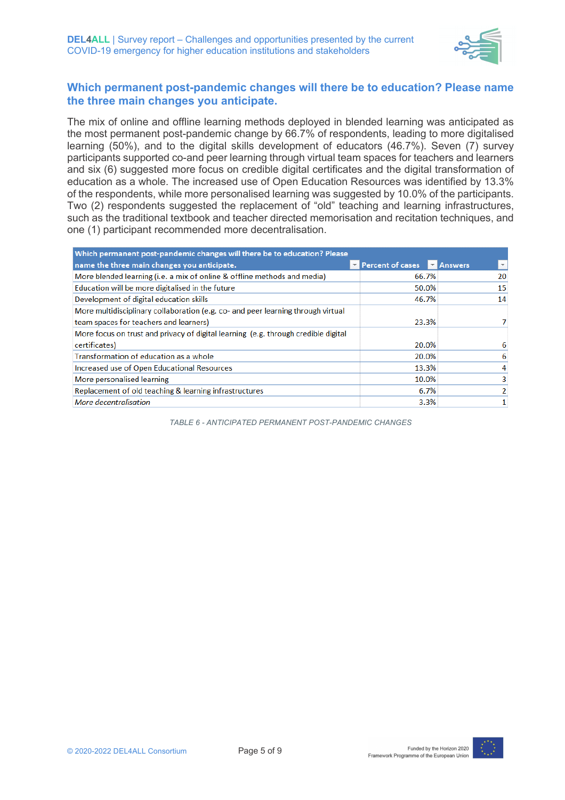

#### **Which permanent post-pandemic changes will there be to education? Please name the three main changes you anticipate.**

The mix of online and offline learning methods deployed in blended learning was anticipated as the most permanent post-pandemic change by 66.7% of respondents, leading to more digitalised learning (50%), and to the digital skills development of educators (46.7%). Seven (7) survey participants supported co-and peer learning through virtual team spaces for teachers and learners and six (6) suggested more focus on credible digital certificates and the digital transformation of education as a whole. The increased use of Open Education Resources was identified by 13.3% of the respondents, while more personalised learning was suggested by 10.0% of the participants. Two (2) respondents suggested the replacement of "old" teaching and learning infrastructures, such as the traditional textbook and teacher directed memorisation and recitation techniques, and one (1) participant recommended more decentralisation.

| Which permanent post-pandemic changes will there be to education? Please           |                  |                                   |
|------------------------------------------------------------------------------------|------------------|-----------------------------------|
| name the three main changes you anticipate.                                        | Percent of cases | <b>MA</b> Answers<br>$\mathbf{v}$ |
| More blended learning (i.e. a mix of online & offline methods and media)           | 66.7%            | 20                                |
| Education will be more digitalised in the future                                   | 50.0%            | 15                                |
| Development of digital education skills                                            | 46.7%            | 14                                |
| More multidisciplinary collaboration (e.g. co- and peer learning through virtual   |                  |                                   |
| team spaces for teachers and learners)                                             | 23.3%            |                                   |
| More focus on trust and privacy of digital learning (e.g. through credible digital |                  |                                   |
| certificates)                                                                      | 20.0%            |                                   |
| Transformation of education as a whole                                             | 20.0%            | 6                                 |
| Increased use of Open Educational Resources                                        | 13.3%            |                                   |
| More personalised learning                                                         | 10.0%            |                                   |
| Replacement of old teaching & learning infrastructures                             | 6.7%             |                                   |
| More decentralisation                                                              | 3.3%             |                                   |

*TABLE 6 - ANTICIPATED PERMANENT POST-PANDEMIC CHANGES*